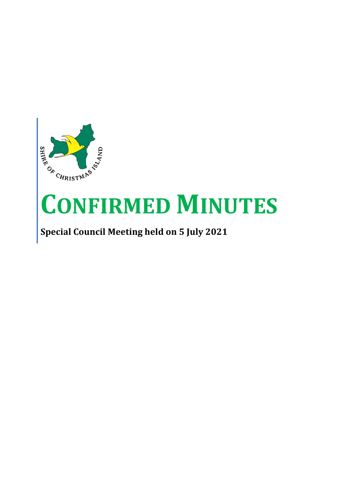

# **CONFIRMED MINUTES**

## **Special Council Meeting held on 5 July 2021**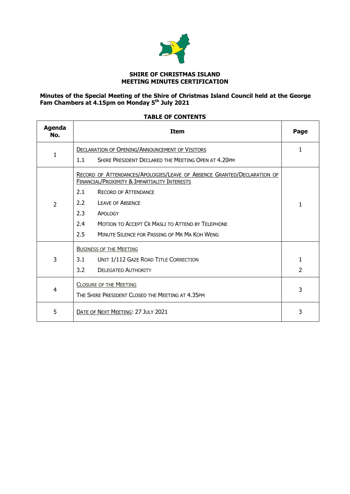

#### **SHIRE OF CHRISTMAS ISLAND MEETING MINUTES CERTIFICATION**

#### **Minutes of the Special Meeting of the Shire of Christmas Island Council held at the George Fam Chambers at 4.15pm on Monday 5th July 2021**

| Agenda<br>No.  | <b>Item</b>                                                                                                                                                                                                                                                                                                                                |   |  |  |
|----------------|--------------------------------------------------------------------------------------------------------------------------------------------------------------------------------------------------------------------------------------------------------------------------------------------------------------------------------------------|---|--|--|
| $\mathbf{1}$   | <b>DECLARATION OF OPENING/ANNOUNCEMENT OF VISITORS</b><br>SHIRE PRESIDENT DECLARED THE MEETING OPEN AT 4.20PM<br>1.1                                                                                                                                                                                                                       |   |  |  |
| $\overline{2}$ | RECORD OF ATTENDANCES/APOLOGIES/LEAVE OF ABSENCE GRANTED/DECLARATION OF<br>FINANCIAL/PROXIMITY & IMPARTIALITY INTERESTS<br>2.1<br><b>RECORD OF ATTENDANCE</b><br>2.2<br><b>LEAVE OF ABSENCE</b><br>2.3<br>APOLOGY<br><b>MOTION TO ACCEPT CR MASLI TO ATTEND BY TELEPHONE</b><br>2.4<br>2.5<br>MINUTE SILENCE FOR PASSING OF MR MA KOH WENG | 1 |  |  |
| 3              | <b>BUSINESS OF THE MEETING</b><br>UNIT 1/112 GAZE ROAD TITLE CORRECTION<br>3.1<br>3.2<br><b>DELEGATED AUTHORITY</b>                                                                                                                                                                                                                        | 2 |  |  |
| $\overline{4}$ | <b>CLOSURE OF THE MEETING</b><br>THE SHIRE PRESIDENT CLOSED THE MEETING AT 4.35PM                                                                                                                                                                                                                                                          |   |  |  |
| 5              | DATE OF NEXT MEETING: 27 JULY 2021                                                                                                                                                                                                                                                                                                         | 3 |  |  |

#### **TABLE OF CONTENTS**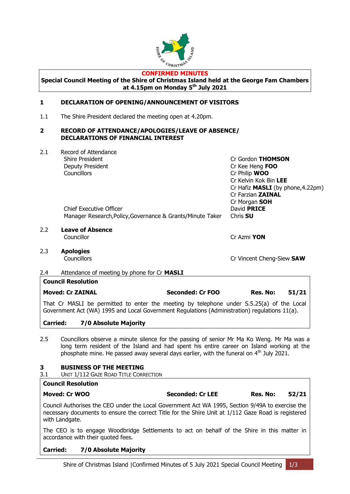

#### **CONFIRMED MINUTES**

**Special Council Meeting of the Shire of Christmas Island held at the George Fam Chambers at 4.15pm on Monday 5th July 2021**

#### <span id="page-2-1"></span><span id="page-2-0"></span>**1 DECLARATION OF OPENING/ANNOUNCEMENT OF VISITORS**

1.1 The Shire President declared the meeting open at 4.20pm.

#### <span id="page-2-2"></span>**2 RECORD OF ATTENDANCE/APOLOGIES/LEAVE OF ABSENCE/ DECLARATIONS OF FINANCIAL INTEREST**

| 2.1              | Record of Attendance                                                                                                                                                                       |                         |                                   |       |
|------------------|--------------------------------------------------------------------------------------------------------------------------------------------------------------------------------------------|-------------------------|-----------------------------------|-------|
|                  | <b>Shire President</b>                                                                                                                                                                     |                         | Cr Gordon THOMSON                 |       |
|                  | Deputy President                                                                                                                                                                           |                         | Cr Kee Heng FOO                   |       |
|                  | Councillors                                                                                                                                                                                |                         | Cr Philip WOO                     |       |
|                  |                                                                                                                                                                                            |                         | Cr Kelvin Kok Bin LEE             |       |
|                  |                                                                                                                                                                                            |                         | Cr Hafiz MASLI (by phone, 4.22pm) |       |
|                  |                                                                                                                                                                                            |                         | Cr Farzian ZAINAL                 |       |
|                  |                                                                                                                                                                                            |                         | Cr Morgan SOH                     |       |
|                  | <b>Chief Executive Officer</b>                                                                                                                                                             |                         | David <b>PRICE</b>                |       |
|                  | Manager Research, Policy, Governance & Grants/Minute Taker                                                                                                                                 |                         | Chris <b>SU</b>                   |       |
| $2.2\phantom{0}$ | <b>Leave of Absence</b>                                                                                                                                                                    |                         |                                   |       |
|                  | Councillor                                                                                                                                                                                 |                         | Cr Azmi YON                       |       |
| 2.3              | <b>Apologies</b>                                                                                                                                                                           |                         |                                   |       |
|                  | Councillors                                                                                                                                                                                |                         | Cr Vincent Cheng-Siew SAW         |       |
| $2.4^{\circ}$    | Attendance of meeting by phone for Cr MASLI                                                                                                                                                |                         |                                   |       |
|                  | <b>Council Resolution</b>                                                                                                                                                                  |                         |                                   |       |
|                  | <b>Moved: Cr ZAINAL</b>                                                                                                                                                                    | <b>Seconded: Cr FOO</b> | Res. No:                          | 51/21 |
|                  | That Cr MASLI be permitted to enter the meeting by telephone under S.5.25(a) of the Local<br>Government Act (WA) 1995 and Local Government Regulations (Administration) regulations 11(a). |                         |                                   |       |

#### **Carried: 7/0 Absolute Majority**

2.5 Councillors observe a minute silence for the passing of senior Mr Ma Ko Weng. Mr Ma was a long term resident of the Island and had spent his entire career on Island working at the phosphate mine. He passed away several days earlier, with the funeral on  $4<sup>th</sup>$  July 2021.

#### <span id="page-2-3"></span>**3 BUSINESS OF THE MEETING**

<span id="page-2-4"></span>3.1 UNIT 1/112 GAZE ROAD TITLE CORRECTION

#### **Council Resolution**

#### **Moved: Cr WOO Seconded: Cr LEE Res. No: 52/21**

Council Authorises the CEO under the Local Government Act WA 1995, Section 9/49A to exercise the necessary documents to ensure the correct Title for the Shire Unit at 1/112 Gaze Road is registered with Landgate.

The CEO is to engage Woodbridge Settlements to act on behalf of the Shire in this matter in accordance with their quoted fees.

#### **Carried: 7/0 Absolute Majority**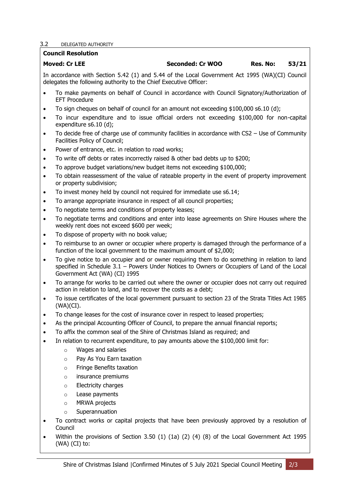#### <span id="page-3-0"></span>3.2 DELEGATED AUTHORITY

#### **Council Resolution**

### **Moved: Cr LEE Seconded: Cr WOO Res. No: 53/21**

In accordance with Section 5.42 (1) and 5.44 of the Local Government Act 1995 (WA)(CI) Council delegates the following authority to the Chief Executive Officer:

- To make payments on behalf of Council in accordance with Council Signatory/Authorization of EFT Procedure
- To sign cheques on behalf of council for an amount not exceeding \$100,000 s6.10 (d);
- To incur expenditure and to issue official orders not exceeding \$100,000 for non-capital expenditure s6.10 (d);
- To decide free of charge use of community facilities in accordance with CS2 Use of Community Facilities Policy of Council;
- Power of entrance, etc. in relation to road works:
- To write off debts or rates incorrectly raised & other bad debts up to \$200;
- To approve budget variations/new budget items not exceeding \$100,000;
- To obtain reassessment of the value of rateable property in the event of property improvement or property subdivision;
- To invest money held by council not required for immediate use s6.14;
- To arrange appropriate insurance in respect of all council properties;
- To negotiate terms and conditions of property leases;
- To negotiate terms and conditions and enter into lease agreements on Shire Houses where the weekly rent does not exceed \$600 per week;
- To dispose of property with no book value;
- To reimburse to an owner or occupier where property is damaged through the performance of a function of the local government to the maximum amount of \$2,000;
- To give notice to an occupier and or owner requiring them to do something in relation to land specified in Schedule 3.1 – Powers Under Notices to Owners or Occupiers of Land of the Local Government Act (WA) (CI) 1995
- To arrange for works to be carried out where the owner or occupier does not carry out required action in relation to land, and to recover the costs as a debt;
- To issue certificates of the local government pursuant to section 23 of the Strata Titles Act 1985 (WA)(CI).
- To change leases for the cost of insurance cover in respect to leased properties;
- As the principal Accounting Officer of Council, to prepare the annual financial reports;
- To affix the common seal of the Shire of Christmas Island as required; and
- In relation to recurrent expenditure, to pay amounts above the \$100,000 limit for:
	- o Wages and salaries
	- o Pay As You Earn taxation
	- o Fringe Benefits taxation
	- o insurance premiums
	- o Electricity charges
	- o Lease payments
	- o MRWA projects
	- o Superannuation
- To contract works or capital projects that have been previously approved by a resolution of Council
- Within the provisions of Section 3.50 (1) (1a) (2) (4) (8) of the Local Government Act 1995 (WA) (CI) to: